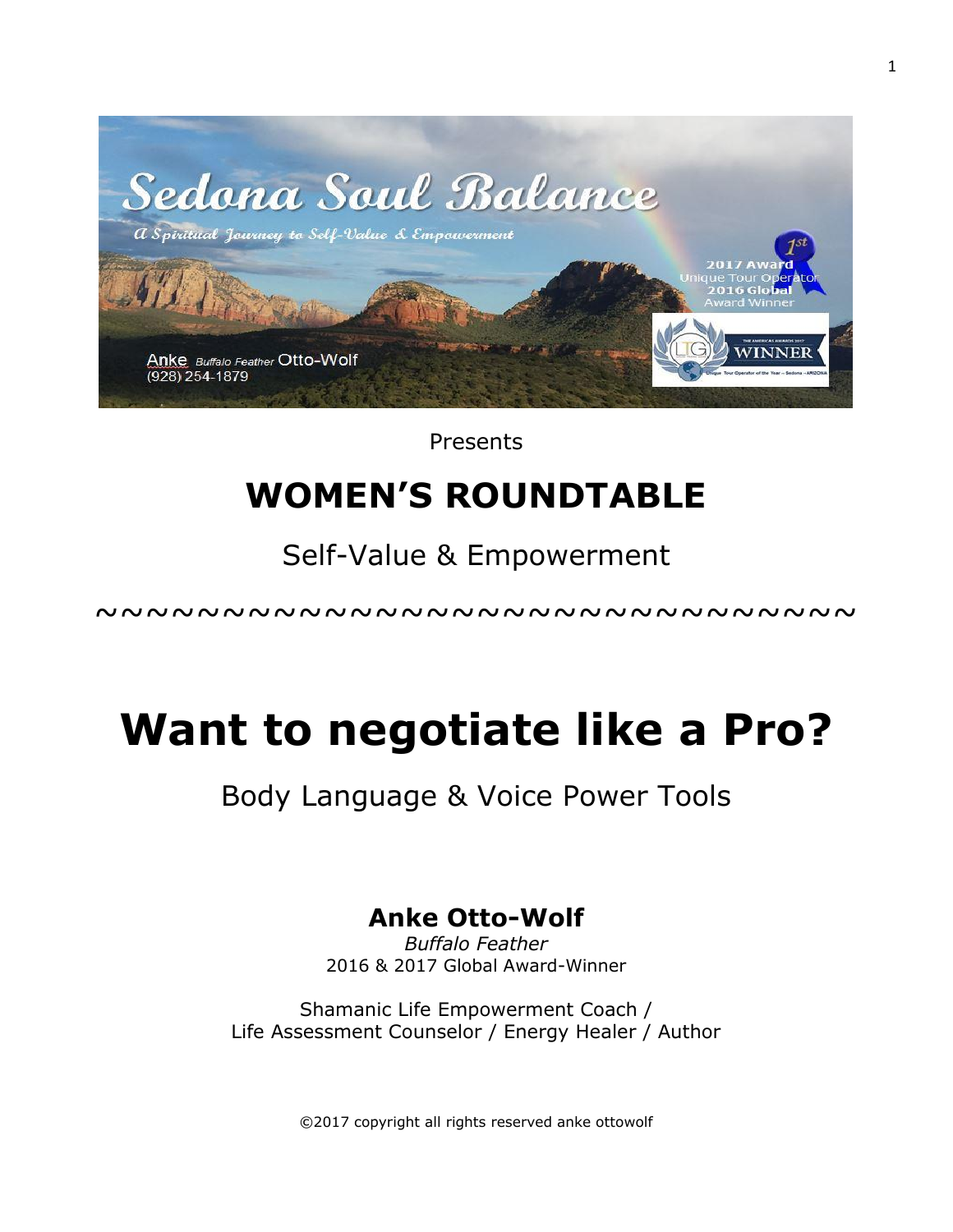

Presents

# **WOMEN'S ROUNDTABLE**

# Self-Value & Empowerment

~~~~~~~~~~~~~~~~~~~~~~~~~~~~~~

# **Want to negotiate like a Pro?**

## Body Language & Voice Power Tools

## **Anke Otto-Wolf**

*Buffalo Feather* 2016 & 2017 Global Award-Winner

Shamanic Life Empowerment Coach / Life Assessment Counselor / Energy Healer / Author

©2017 copyright all rights reserved anke ottowolf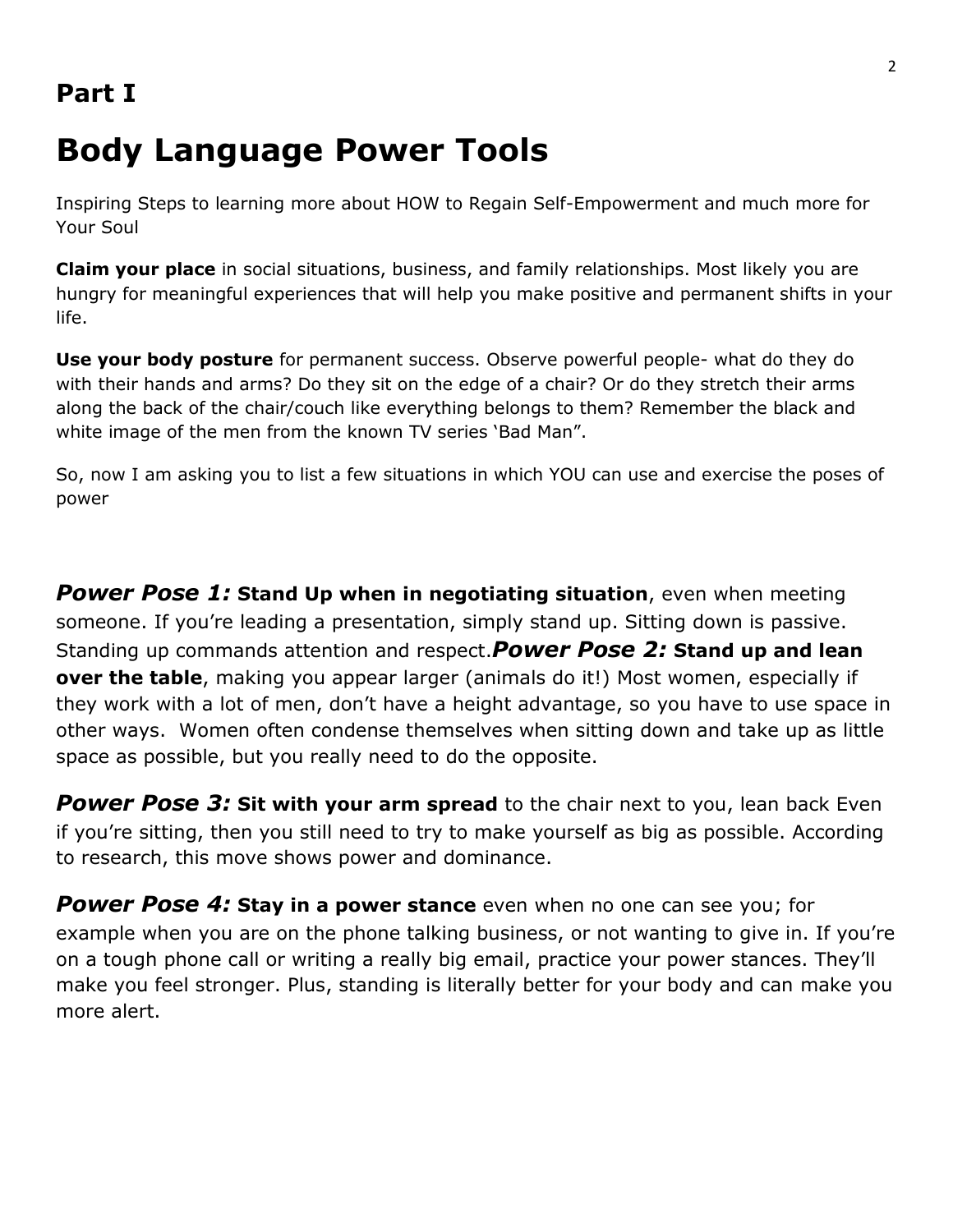# **Body Language Power Tools**

Inspiring Steps to learning more about HOW to Regain Self-Empowerment and much more for Your Soul

**Claim your place** in social situations, business, and family relationships. Most likely you are hungry for meaningful experiences that will help you make positive and permanent shifts in your life.

**Use your body posture** for permanent success. Observe powerful people- what do they do with their hands and arms? Do they sit on the edge of a chair? Or do they stretch their arms along the back of the chair/couch like everything belongs to them? Remember the black and white image of the men from the known TV series 'Bad Man".

So, now I am asking you to list a few situations in which YOU can use and exercise the poses of power

*Power Pose 1:* **Stand Up when in negotiating situation**, even when meeting someone. If you're leading a presentation, simply stand up. Sitting down is passive. Standing up commands attention and respect.*Power Pose 2:* **Stand up and lean over the table**, making you appear larger (animals do it!) Most women, especially if they work with a lot of men, don't have a height advantage, so you have to use space in other ways. Women often condense themselves when sitting down and take up as little space as possible, but you really need to do the opposite.

*Power Pose 3:* **Sit with your arm spread** to the chair next to you, lean back Even if you're sitting, then you still need to try to make yourself as big as possible. According to research, this move shows power and dominance.

**Power Pose 4: Stay in a power stance** even when no one can see you; for example when you are on the phone talking business, or not wanting to give in. If you're on a tough phone call or writing a really big email, practice your power stances. They'll make you feel stronger. Plus, standing is literally better for your body and can make you more alert.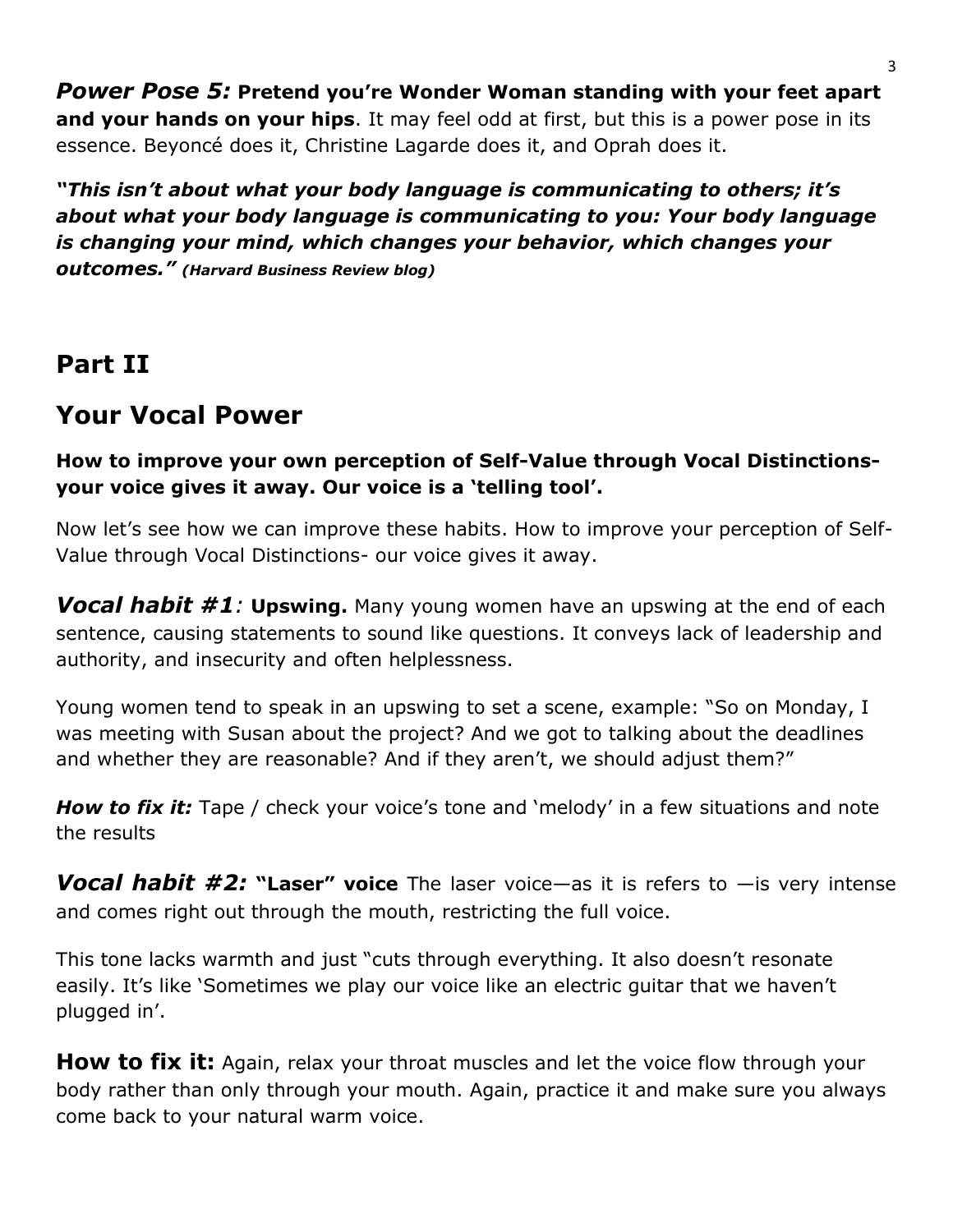*Power Pose 5:* **Pretend you're Wonder Woman standing with your feet apart and your hands on your hips**. It may feel odd at first, but this is a power pose in its essence. Beyoncé does it, Christine Lagarde does it, and Oprah does it.

*"This isn't about what your body language is communicating to others; it's about what your body language is communicating to you: Your body language is changing your mind, which changes your behavior, which changes your outcomes." (Harvard Business Review blog)*

#### **Part II**

### **Your Vocal Power**

#### **How to improve your own perception of Self-Value through Vocal Distinctionsyour voice gives it away. Our voice is a 'telling tool'.**

Now let's see how we can improve these habits. How to improve your perception of Self-Value through Vocal Distinctions- our voice gives it away.

*Vocal habit #1:* **Upswing.** Many young women have an upswing at the end of each sentence, causing statements to sound like questions. It conveys lack of leadership and authority, and insecurity and often helplessness.

Young women tend to speak in an upswing to set a scene, example: "So on Monday, I was meeting with Susan about the project? And we got to talking about the deadlines and whether they are reasonable? And if they aren't, we should adjust them?"

**How to fix it:** Tape / check your voice's tone and 'melody' in a few situations and note the results

*Vocal habit #2:* **"Laser" voice** The laser voice—as it is refers to —is very intense and comes right out through the mouth, restricting the full voice.

This tone lacks warmth and just "cuts through everything. It also doesn't resonate easily. It's like 'Sometimes we play our voice like an electric guitar that we haven't plugged in'.

**How to fix it:** Again, relax your throat muscles and let the voice flow through your body rather than only through your mouth. Again, practice it and make sure you always come back to your natural warm voice.